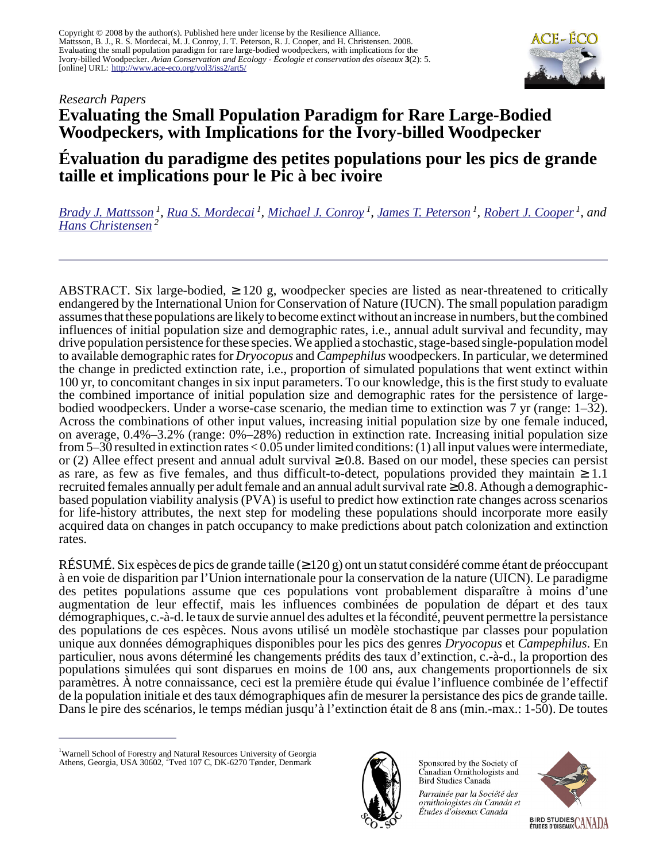Copyright © 2008 by the author(s). Published here under license by the Resilience Alliance. Mattsson, B. J., R. S. Mordecai, M. J. Conroy, J. T. Peterson, R. J. Cooper, and H. Christensen. 2008. Evaluating the small population paradigm for rare large-bodied woodpeckers, with implications for the Ivory-billed Woodpecker. *Avian Conservation and Ecology - Écologie et conservation des oiseaux* **3**(2): 5. [online] URL: <http://www.ace-eco.org/vol3/iss2/art5/>



# *Research Papers* **Evaluating the Small Population Paradigm for Rare Large-Bodied Woodpeckers, with Implications for the Ivory-billed Woodpecker**

# **Évaluation du paradigme des petites populations pour les pics de grande taille et implications pour le Pic à bec ivoire**

*[Brady J. Mattsson](mailto:bjmatt@uga.edu)<sup>1</sup> , [Rua S. Mordecai](mailto:rua.mordecai@gmail.com)<sup>1</sup> , [Michael J. Conroy](mailto:mconroy@uga.edu)<sup>1</sup> , [James T. Peterson](mailto:jpeterson@warnell.uga.edu)<sup>1</sup> , [Robert J. Cooper](mailto:rcooper@warnell.uga.edu)<sup>1</sup>, and [Hans Christensen](mailto:dlgmail@.dk)<sup>2</sup>*

ABSTRACT. Six large-bodied,  $\geq 120$  g, woodpecker species are listed as near-threatened to critically endangered by the International Union for Conservation of Nature (IUCN). The small population paradigm assumes that these populations are likely to become extinct without an increase in numbers, but the combined influences of initial population size and demographic rates, i.e., annual adult survival and fecundity, may drive population persistence for these species. We applied a stochastic, stage-based single-population model to available demographic rates for *Dryocopus* and *Campephilus* woodpeckers. In particular, we determined the change in predicted extinction rate, i.e., proportion of simulated populations that went extinct within 100 yr, to concomitant changes in six input parameters. To our knowledge, this is the first study to evaluate the combined importance of initial population size and demographic rates for the persistence of largebodied woodpeckers. Under a worse-case scenario, the median time to extinction was 7 yr (range: 1–32). Across the combinations of other input values, increasing initial population size by one female induced, on average, 0.4%–3.2% (range: 0%–28%) reduction in extinction rate. Increasing initial population size from 5–30 resulted in extinction rates < 0.05 under limited conditions: (1) all input values were intermediate, or (2) Allee effect present and annual adult survival  $\geq 0.8$ . Based on our model, these species can persist as rare, as few as five females, and thus difficult-to-detect, populations provided they maintain  $\geq 1.1$ recruited females annually per adult female and an annual adult survival rate  $\geq 0.8$ . Athough a demographicbased population viability analysis (PVA) is useful to predict how extinction rate changes across scenarios for life-history attributes, the next step for modeling these populations should incorporate more easily acquired data on changes in patch occupancy to make predictions about patch colonization and extinction rates.

RÉSUMÉ. Six espèces de pics de grande taille ( $\geq 120$  g) ont un statut considéré comme étant de préoccupant à en voie de disparition par l'Union internationale pour la conservation de la nature (UICN). Le paradigme des petites populations assume que ces populations vont probablement disparaître à moins d'une augmentation de leur effectif, mais les influences combinées de population de départ et des taux démographiques, c.-à-d. le taux de survie annuel des adultes et la fécondité, peuvent permettre la persistance des populations de ces espèces. Nous avons utilisé un modèle stochastique par classes pour population unique aux données démographiques disponibles pour les pics des genres *Dryocopus* et *Campephilus*. En particulier, nous avons déterminé les changements prédits des taux d'extinction, c.-à-d., la proportion des populations simulées qui sont disparues en moins de 100 ans, aux changements proportionnels de six paramètres. À notre connaissance, ceci est la première étude qui évalue l'influence combinée de l'effectif de la population initiale et des taux démographiques afin de mesurer la persistance des pics de grande taille. Dans le pire des scénarios, le temps médian jusqu'à l'extinction était de 8 ans (min.-max.: 1-50). De toutes

<sup>&</sup>lt;sup>1</sup>Warnell School of Forestry and Natural Resources University of Georgia Athens, Georgia, USA 30602, <sup>2</sup>Tved 107 C, DK-6270 Tønder, Denmark



Sponsored by the Society of Canadian Ornithologists and Bird Studies Canada

Parrainée par la Société des ornithologistes du Canada et Études d'oiseaux Canada

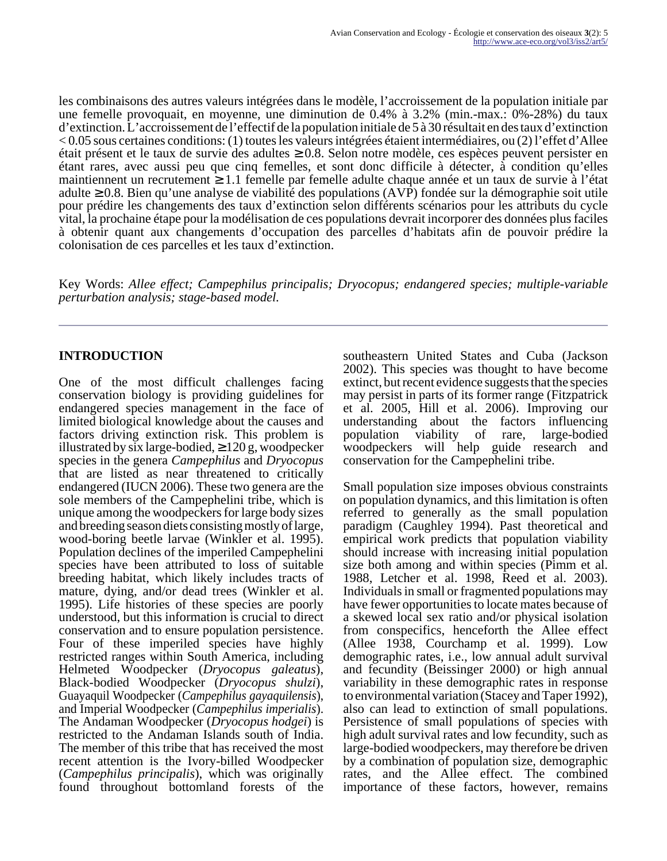les combinaisons des autres valeurs intégrées dans le modèle, l'accroissement de la population initiale par une femelle provoquait, en moyenne, une diminution de 0.4% à 3.2% (min.-max.: 0%-28%) du taux d'extinction. L'accroissement de l'effectif de la population initiale de 5 à 30 résultait en des taux d'extinction < 0.05 sous certaines conditions: (1) toutes les valeurs intégrées étaient intermédiaires, ou (2) l'effet d'Allee était présent et le taux de survie des adultes ≥ 0.8. Selon notre modèle, ces espèces peuvent persister en étant rares, avec aussi peu que cinq femelles, et sont donc difficile à détecter, à condition qu'elles maintiennent un recrutement  $\geq 1.1$  femelle par femelle adulte chaque année et un taux de survie à l'état adulte  $\geq 0.8$ . Bien qu'une analyse de viabilité des populations (AVP) fondée sur la démographie soit utile pour prédire les changements des taux d'extinction selon différents scénarios pour les attributs du cycle vital, la prochaine étape pour la modélisation de ces populations devrait incorporer des données plus faciles à obtenir quant aux changements d'occupation des parcelles d'habitats afin de pouvoir prédire la colonisation de ces parcelles et les taux d'extinction.

Key Words: *Allee effect; Campephilus principalis; Dryocopus; endangered species; multiple-variable perturbation analysis; stage-based model.*

# **INTRODUCTION**

One of the most difficult challenges facing conservation biology is providing guidelines for endangered species management in the face of limited biological knowledge about the causes and factors driving extinction risk. This problem is illustrated by six large-bodied, ≥ 120 g, woodpecker species in the genera *Campephilus* and *Dryocopus* that are listed as near threatened to critically endangered (IUCN 2006). These two genera are the sole members of the Campephelini tribe, which is unique among the woodpeckers for large body sizes and breeding season diets consisting mostly of large, wood-boring beetle larvae (Winkler et al. 1995). Population declines of the imperiled Campephelini species have been attributed to loss of suitable breeding habitat, which likely includes tracts of mature, dying, and/or dead trees (Winkler et al. 1995). Life histories of these species are poorly understood, but this information is crucial to direct conservation and to ensure population persistence. Four of these imperiled species have highly restricted ranges within South America, including Helmeted Woodpecker (*Dryocopus galeatus*), Black-bodied Woodpecker (*Dryocopus shulzi*), Guayaquil Woodpecker (*Campephilus gayaquilensis*), and Imperial Woodpecker (*Campephilus imperialis*). The Andaman Woodpecker (*Dryocopus hodgei*) is restricted to the Andaman Islands south of India. The member of this tribe that has received the most recent attention is the Ivory-billed Woodpecker (*Campephilus principalis*), which was originally found throughout bottomland forests of the

southeastern United States and Cuba (Jackson 2002). This species was thought to have become extinct, but recent evidence suggests that the species may persist in parts of its former range (Fitzpatrick et al. 2005, Hill et al. 2006). Improving our understanding about the factors influencing population viability of rare, large-bodied woodpeckers will help guide research and conservation for the Campephelini tribe.

Small population size imposes obvious constraints on population dynamics, and this limitation is often referred to generally as the small population paradigm (Caughley 1994). Past theoretical and empirical work predicts that population viability should increase with increasing initial population size both among and within species (Pimm et al. 1988, Letcher et al. 1998, Reed et al. 2003). Individuals in small or fragmented populations may have fewer opportunities to locate mates because of a skewed local sex ratio and/or physical isolation from conspecifics, henceforth the Allee effect (Allee 1938, Courchamp et al. 1999). Low demographic rates, i.e., low annual adult survival and fecundity (Beissinger 2000) or high annual variability in these demographic rates in response to environmental variation (Stacey and Taper 1992), also can lead to extinction of small populations. Persistence of small populations of species with high adult survival rates and low fecundity, such as large-bodied woodpeckers, may therefore be driven by a combination of population size, demographic rates, and the Allee effect. The combined importance of these factors, however, remains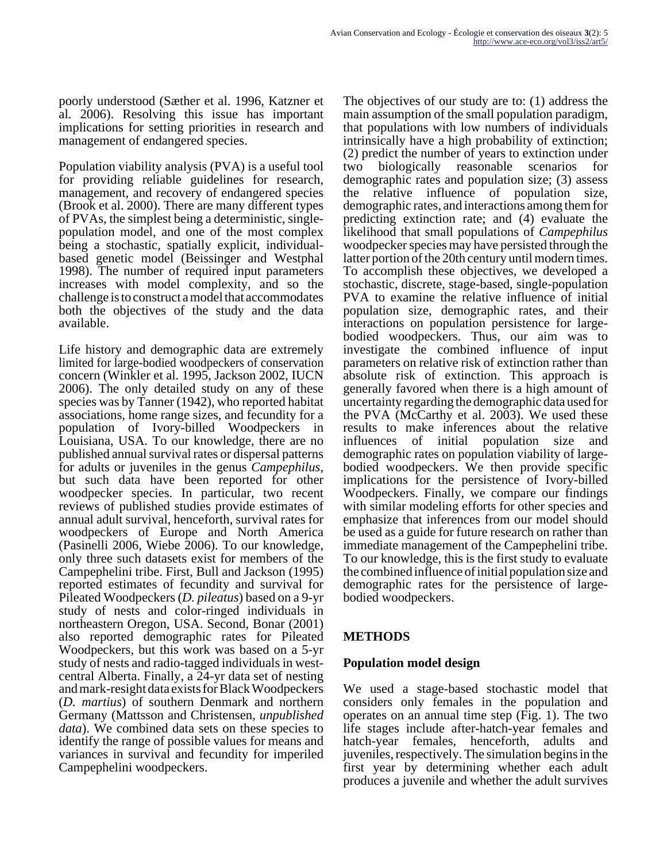poorly understood (Sæther et al. 1996, Katzner et al. 2006). Resolving this issue has important implications for setting priorities in research and management of endangered species.

Population viability analysis (PVA) is a useful tool for providing reliable guidelines for research, management, and recovery of endangered species (Brook et al. 2000). There are many different types of PVAs, the simplest being a deterministic, singlepopulation model, and one of the most complex being a stochastic, spatially explicit, individualbased genetic model (Beissinger and Westphal 1998). The number of required input parameters increases with model complexity, and so the challenge is to construct a model that accommodates both the objectives of the study and the data available.

Life history and demographic data are extremely limited for large-bodied woodpeckers of conservation concern (Winkler et al. 1995, Jackson 2002, IUCN 2006). The only detailed study on any of these species was by Tanner (1942), who reported habitat associations, home range sizes, and fecundity for a population of Ivory-billed Woodpeckers in Louisiana, USA. To our knowledge, there are no published annual survival rates or dispersal patterns for adults or juveniles in the genus *Campephilus,* but such data have been reported for other woodpecker species. In particular, two recent reviews of published studies provide estimates of annual adult survival, henceforth, survival rates for woodpeckers of Europe and North America (Pasinelli 2006, Wiebe 2006). To our knowledge, only three such datasets exist for members of the Campephelini tribe. First, Bull and Jackson (1995) reported estimates of fecundity and survival for Pileated Woodpeckers (*D. pileatus*) based on a 9-yr study of nests and color-ringed individuals in northeastern Oregon, USA. Second, Bonar (2001) also reported demographic rates for Pileated Woodpeckers, but this work was based on a 5-yr study of nests and radio-tagged individuals in westcentral Alberta. Finally, a 24-yr data set of nesting and mark-resight data exists for Black Woodpeckers (*D. martius*) of southern Denmark and northern Germany (Mattsson and Christensen, *unpublished data*). We combined data sets on these species to identify the range of possible values for means and variances in survival and fecundity for imperiled Campephelini woodpeckers.

The objectives of our study are to: (1) address the main assumption of the small population paradigm, that populations with low numbers of individuals intrinsically have a high probability of extinction; (2) predict the number of years to extinction under two biologically reasonable scenarios for demographic rates and population size; (3) assess the relative influence of population size, demographic rates, and interactions among them for predicting extinction rate; and (4) evaluate the likelihood that small populations of *Campephilus* woodpecker species may have persisted through the latter portion of the 20th century until modern times. To accomplish these objectives, we developed a stochastic, discrete, stage-based, single-population PVA to examine the relative influence of initial population size, demographic rates, and their interactions on population persistence for largebodied woodpeckers. Thus, our aim was to investigate the combined influence of input parameters on relative risk of extinction rather than absolute risk of extinction. This approach is generally favored when there is a high amount of uncertainty regarding the demographic data used for the PVA (McCarthy et al. 2003). We used these results to make inferences about the relative influences of initial population size and demographic rates on population viability of largebodied woodpeckers. We then provide specific implications for the persistence of Ivory-billed Woodpeckers. Finally, we compare our findings with similar modeling efforts for other species and emphasize that inferences from our model should be used as a guide for future research on rather than immediate management of the Campephelini tribe. To our knowledge, this is the first study to evaluate the combined influence of initial population size and demographic rates for the persistence of largebodied woodpeckers.

# **METHODS**

## **Population model design**

We used a stage-based stochastic model that considers only females in the population and operates on an annual time step (Fig. 1). The two life stages include after-hatch-year females and hatch-year females, henceforth, adults and juveniles, respectively. The simulation begins in the first year by determining whether each adult produces a juvenile and whether the adult survives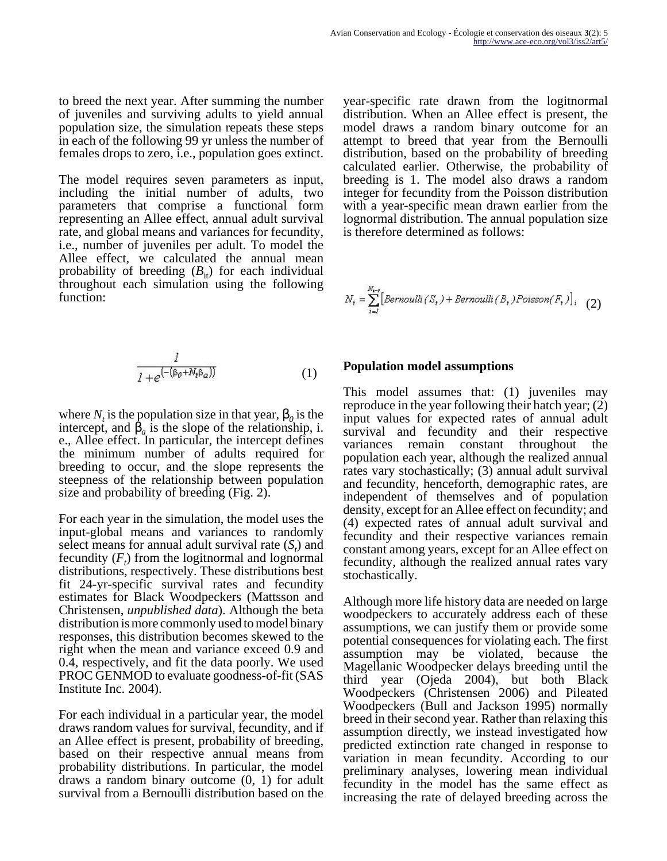to breed the next year. After summing the number of juveniles and surviving adults to yield annual population size, the simulation repeats these steps in each of the following 99 yr unless the number of females drops to zero, i.e., population goes extinct.

The model requires seven parameters as input. including the initial number of adults, two parameters that comprise a functional form representing an Allee effect, annual adult survival rate, and global means and variances for fecundity, i.e., number of juveniles per adult. To model the Allee effect, we calculated the annual mean probability of breeding  $(B<sub>it</sub>)$  for each individual throughout each simulation using the following function:

year-specific rate drawn from the logitnormal distribution. When an Allee effect is present, the model draws a random binary outcome for an attempt to breed that year from the Bernoulli distribution, based on the probability of breeding calculated earlier. Otherwise, the probability of breeding is 1. The model also draws a random integer for fecundity from the Poisson distribution with a year-specific mean drawn earlier from the lognormal distribution. The annual population size is therefore determined as follows:

$$
N_t = \sum_{i=1}^{N_{t-1}} \left[ Bernoulli\left(S_t\right) + Bernoulli\left(B_t\right) Poisson\left(F_t\right)\right]_i \tag{2}
$$

$$
\frac{1}{1 + e^{\left(-\left(\beta_{0} + N_{t} \beta_{a}\right)\right)}}\tag{1}
$$

where  $N_t$  is the population size in that year,  $\beta_0$  is the intercept, and  $\bar{\beta}_a$  is the slope of the relationship, i. e., Allee effect. In particular, the intercept defines the minimum number of adults required for breeding to occur, and the slope represents the steepness of the relationship between population size and probability of breeding (Fig. 2).

For each year in the simulation, the model uses the input-global means and variances to randomly select means for annual adult survival rate  $(S_t)$  and fecundity  $(F_t)$  from the logitnormal and lognormal distributions, respectively. These distributions best fit 24-yr-specific survival rates and fecundity estimates for Black Woodpeckers (Mattsson and Christensen, *unpublished data*). Although the beta distribution is more commonly used to model binary responses, this distribution becomes skewed to the right when the mean and variance exceed 0.9 and 0.4, respectively, and fit the data poorly. We used PROC GENMOD to evaluate goodness-of-fit (SAS Institute Inc. 2004).

For each individual in a particular year, the model draws random values for survival, fecundity, and if an Allee effect is present, probability of breeding, based on their respective annual means from probability distributions. In particular, the model draws a random binary outcome (0, 1) for adult survival from a Bernoulli distribution based on the

# **Population model assumptions**

This model assumes that: (1) juveniles may reproduce in the year following their hatch year; (2) input values for expected rates of annual adult survival and fecundity and their respective variances remain constant throughout the population each year, although the realized annual rates vary stochastically; (3) annual adult survival and fecundity, henceforth, demographic rates, are independent of themselves and of population density, except for an Allee effect on fecundity; and (4) expected rates of annual adult survival and fecundity and their respective variances remain constant among years, except for an Allee effect on fecundity, although the realized annual rates vary stochastically.

Although more life history data are needed on large woodpeckers to accurately address each of these assumptions, we can justify them or provide some potential consequences for violating each. The first assumption may be violated, because the Magellanic Woodpecker delays breeding until the third year (Ojeda 2004), but both Black Woodpeckers (Christensen 2006) and Pileated Woodpeckers (Bull and Jackson 1995) normally breed in their second year. Rather than relaxing this assumption directly, we instead investigated how predicted extinction rate changed in response to variation in mean fecundity. According to our preliminary analyses, lowering mean individual fecundity in the model has the same effect as increasing the rate of delayed breeding across the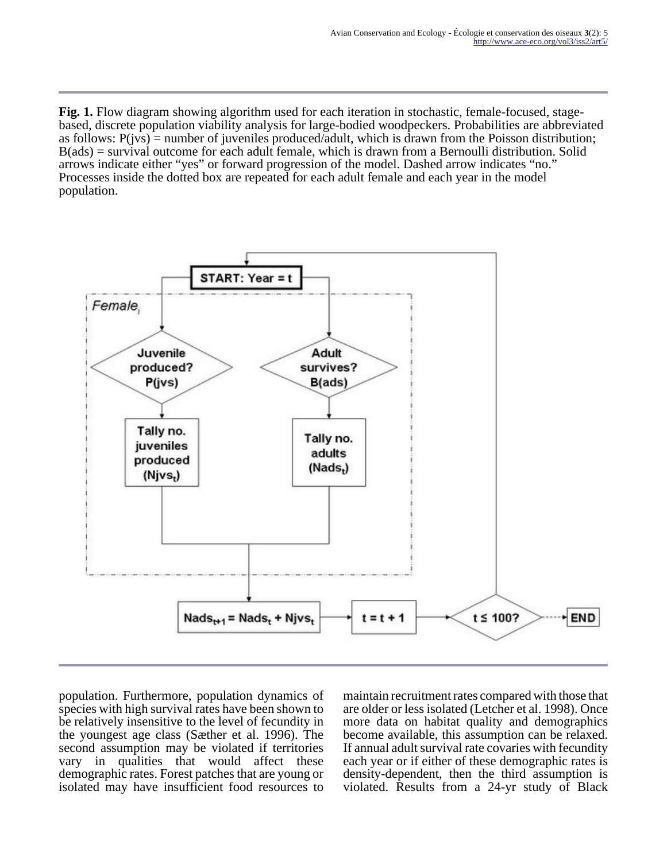**Fig. 1.** Flow diagram showing algorithm used for each iteration in stochastic, female-focused, stagebased, discrete population viability analysis for large-bodied woodpeckers. Probabilities are abbreviated as follows:  $P(ivs)$  = number of juveniles produced/adult, which is drawn from the Poisson distribution; B(ads) = survival outcome for each adult female, which is drawn from a Bernoulli distribution. Solid arrows indicate either "yes" or forward progression of the model. Dashed arrow indicates "no." Processes inside the dotted box are repeated for each adult female and each year in the model population.



population. Furthermore, population dynamics of species with high survival rates have been shown to be relatively insensitive to the level of fecundity in the youngest age class (Sæther et al. 1996). The second assumption may be violated if territories vary in qualities that would affect these demographic rates. Forest patches that are young or isolated may have insufficient food resources to

maintain recruitment rates compared with those that are older or less isolated (Letcher et al. 1998). Once more data on habitat quality and demographics become available, this assumption can be relaxed. If annual adult survival rate covaries with fecundity each year or if either of these demographic rates is density-dependent, then the third assumption is violated. Results from a 24-yr study of Black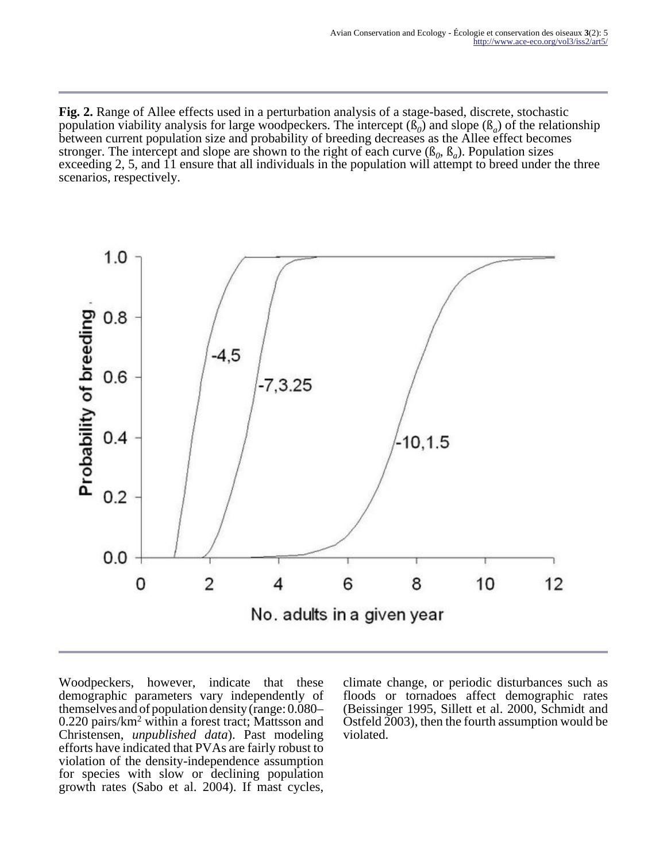**Fig. 2.** Range of Allee effects used in a perturbation analysis of a stage-based, discrete, stochastic population viability analysis for large woodpeckers. The intercept  $(\beta_0)$  and slope  $(\beta_a)$  of the relationship between current population size and probability of breeding decreases as the Allee effect becomes stronger. The intercept and slope are shown to the right of each curve  $(\beta_0, \beta_a)$ . Population sizes exceeding 2, 5, and 11 ensure that all individuals in the population will attempt to breed under the three scenarios, respectively.



Woodpeckers, however, indicate that these demographic parameters vary independently of themselves and of population density (range: 0.080– 0.220 pairs/km<sup>2</sup> within a forest tract; Mattsson and Christensen, *unpublished data*). Past modeling efforts have indicated that PVAs are fairly robust to violation of the density-independence assumption for species with slow or declining population growth rates (Sabo et al. 2004). If mast cycles,

climate change, or periodic disturbances such as floods or tornadoes affect demographic rates (Beissinger 1995, Sillett et al. 2000, Schmidt and Ostfeld 2003), then the fourth assumption would be violated.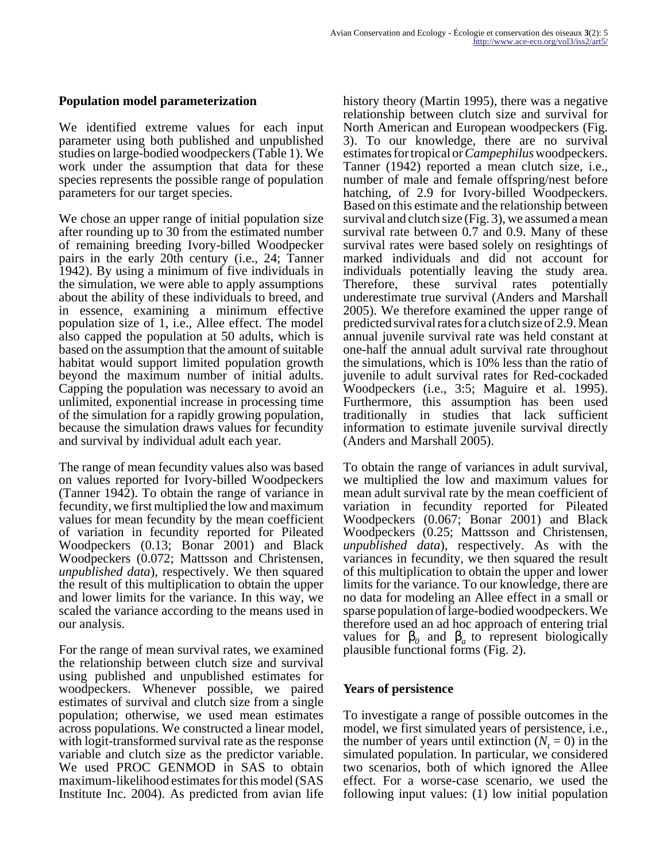#### **Population model parameterization**

We identified extreme values for each input parameter using both published and unpublished studies on large-bodied woodpeckers (Table 1). We work under the assumption that data for these species represents the possible range of population parameters for our target species.

We chose an upper range of initial population size after rounding up to 30 from the estimated number of remaining breeding Ivory-billed Woodpecker pairs in the early 20th century (i.e., 24; Tanner 1942). By using a minimum of five individuals in the simulation, we were able to apply assumptions about the ability of these individuals to breed, and in essence, examining a minimum effective population size of 1, i.e., Allee effect. The model also capped the population at 50 adults, which is based on the assumption that the amount of suitable habitat would support limited population growth beyond the maximum number of initial adults. Capping the population was necessary to avoid an unlimited, exponential increase in processing time of the simulation for a rapidly growing population, because the simulation draws values for fecundity and survival by individual adult each year.

The range of mean fecundity values also was based on values reported for Ivory-billed Woodpeckers (Tanner 1942). To obtain the range of variance in fecundity, we first multiplied the low and maximum values for mean fecundity by the mean coefficient of variation in fecundity reported for Pileated Woodpeckers (0.13; Bonar 2001) and Black Woodpeckers (0.072; Mattsson and Christensen, *unpublished data*), respectively. We then squared the result of this multiplication to obtain the upper and lower limits for the variance. In this way, we scaled the variance according to the means used in our analysis.

For the range of mean survival rates, we examined the relationship between clutch size and survival using published and unpublished estimates for woodpeckers. Whenever possible, we paired estimates of survival and clutch size from a single population; otherwise, we used mean estimates across populations. We constructed a linear model, with logit-transformed survival rate as the response variable and clutch size as the predictor variable. We used PROC GENMOD in SAS to obtain maximum-likelihood estimates for this model (SAS Institute Inc. 2004). As predicted from avian life

history theory (Martin 1995), there was a negative relationship between clutch size and survival for North American and European woodpeckers (Fig. 3). To our knowledge, there are no survival estimates for tropical or *Campephilus* woodpeckers. Tanner (1942) reported a mean clutch size, i.e., number of male and female offspring/nest before hatching, of 2.9 for Ivory-billed Woodpeckers. Based on this estimate and the relationship between survival and clutch size (Fig. 3), we assumed a mean survival rate between 0.7 and 0.9. Many of these survival rates were based solely on resightings of marked individuals and did not account for individuals potentially leaving the study area. Therefore, these survival rates potentially underestimate true survival (Anders and Marshall 2005). We therefore examined the upper range of predicted survival rates for a clutch size of 2.9. Mean annual juvenile survival rate was held constant at one-half the annual adult survival rate throughout the simulations, which is 10% less than the ratio of juvenile to adult survival rates for Red-cockaded Woodpeckers (i.e., 3:5; Maguire et al. 1995). Furthermore, this assumption has been used traditionally in studies that lack sufficient information to estimate juvenile survival directly (Anders and Marshall 2005).

To obtain the range of variances in adult survival, we multiplied the low and maximum values for mean adult survival rate by the mean coefficient of variation in fecundity reported for Pileated Woodpeckers (0.067; Bonar 2001) and Black Woodpeckers (0.25; Mattsson and Christensen, *unpublished data*), respectively. As with the variances in fecundity, we then squared the result of this multiplication to obtain the upper and lower limits for the variance. To our knowledge, there are no data for modeling an Allee effect in a small or sparse population of large-bodied woodpeckers. We therefore used an ad hoc approach of entering trial values for  $\beta_0$  and  $\beta_a$  to represent biologically plausible functional forms (Fig. 2).

#### **Years of persistence**

To investigate a range of possible outcomes in the model, we first simulated years of persistence, i.e., the number of years until extinction  $(N_t = 0)$  in the simulated population. In particular, we considered two scenarios, both of which ignored the Allee effect. For a worse-case scenario, we used the following input values: (1) low initial population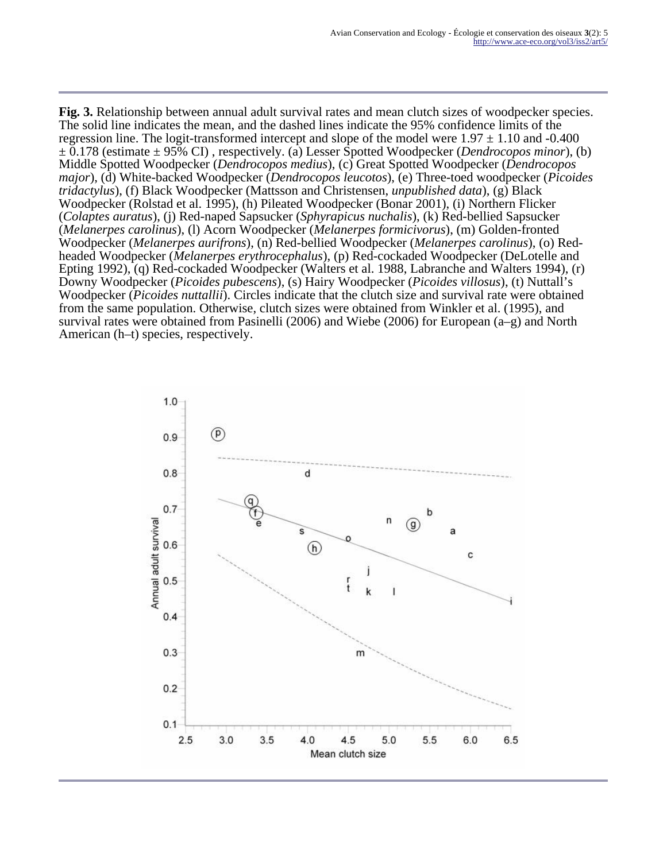**Fig. 3.** Relationship between annual adult survival rates and mean clutch sizes of woodpecker species. The solid line indicates the mean, and the dashed lines indicate the 95% confidence limits of the regression line. The logit-transformed intercept and slope of the model were  $1.97 \pm 1.10$  and -0.400 ± 0.178 (estimate ± 95% CI) , respectively. (a) Lesser Spotted Woodpecker (*Dendrocopos minor*), (b) Middle Spotted Woodpecker (*Dendrocopos medius*), (c) Great Spotted Woodpecker (*Dendrocopos major*), (d) White-backed Woodpecker (*Dendrocopos leucotos*), (e) Three-toed woodpecker (*Picoides tridactylus*), (f) Black Woodpecker (Mattsson and Christensen, *unpublished data*), (g) Black Woodpecker (Rolstad et al. 1995), (h) Pileated Woodpecker (Bonar 2001), (i) Northern Flicker (*Colaptes auratus*), (j) Red-naped Sapsucker (*Sphyrapicus nuchalis*), (k) Red-bellied Sapsucker (*Melanerpes carolinus*), (l) Acorn Woodpecker (*Melanerpes formicivorus*), (m) Golden-fronted Woodpecker (*Melanerpes aurifrons*), (n) Red-bellied Woodpecker (*Melanerpes carolinus*), (o) Redheaded Woodpecker (*Melanerpes erythrocephalus*), (p) Red-cockaded Woodpecker (DeLotelle and Epting 1992), (q) Red-cockaded Woodpecker (Walters et al. 1988, Labranche and Walters 1994), (r) Downy Woodpecker (*Picoides pubescens*), (s) Hairy Woodpecker (*Picoides villosus*), (t) Nuttall's Woodpecker (*Picoides nuttallii*). Circles indicate that the clutch size and survival rate were obtained from the same population. Otherwise, clutch sizes were obtained from Winkler et al. (1995), and survival rates were obtained from Pasinelli (2006) and Wiebe (2006) for European (a–g) and North American (h–t) species, respectively.

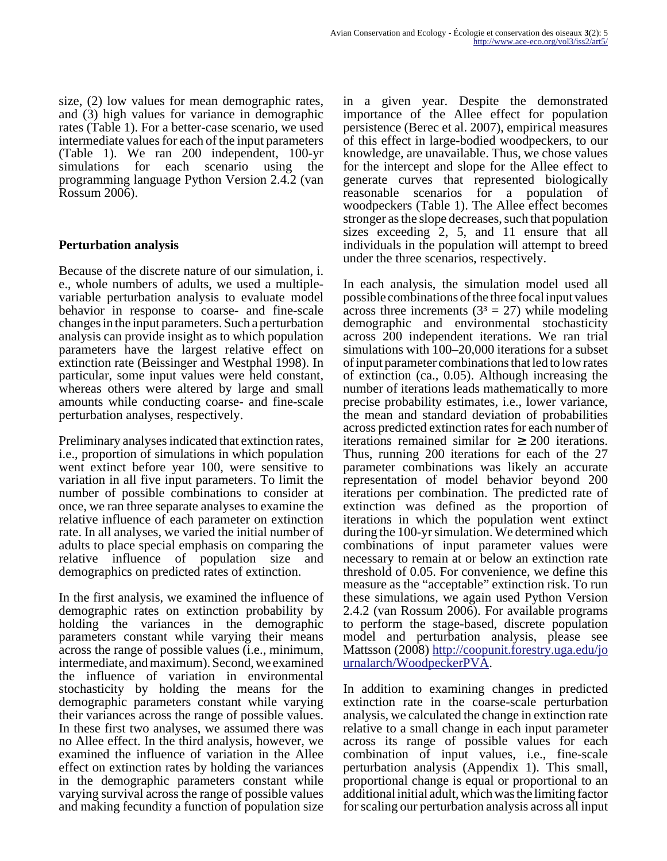size, (2) low values for mean demographic rates, and (3) high values for variance in demographic rates (Table 1). For a better-case scenario, we used intermediate values for each of the input parameters (Table 1). We ran 200 independent, 100-yr simulations for each scenario using the programming language Python Version 2.4.2 (van Rossum 2006).

## **Perturbation analysis**

Because of the discrete nature of our simulation, i. e., whole numbers of adults, we used a multiplevariable perturbation analysis to evaluate model behavior in response to coarse- and fine-scale changes in the input parameters. Such a perturbation analysis can provide insight as to which population parameters have the largest relative effect on extinction rate (Beissinger and Westphal 1998). In particular, some input values were held constant, whereas others were altered by large and small amounts while conducting coarse- and fine-scale perturbation analyses, respectively.

Preliminary analyses indicated that extinction rates, i.e., proportion of simulations in which population went extinct before year 100, were sensitive to variation in all five input parameters. To limit the number of possible combinations to consider at once, we ran three separate analyses to examine the relative influence of each parameter on extinction rate. In all analyses, we varied the initial number of adults to place special emphasis on comparing the relative influence of population size and demographics on predicted rates of extinction.

In the first analysis, we examined the influence of demographic rates on extinction probability by holding the variances in the demographic parameters constant while varying their means across the range of possible values (i.e., minimum, intermediate, and maximum). Second, we examined the influence of variation in environmental stochasticity by holding the means for the demographic parameters constant while varying their variances across the range of possible values. In these first two analyses, we assumed there was no Allee effect. In the third analysis, however, we examined the influence of variation in the Allee effect on extinction rates by holding the variances in the demographic parameters constant while varying survival across the range of possible values and making fecundity a function of population size

in a given year. Despite the demonstrated importance of the Allee effect for population persistence (Berec et al. 2007), empirical measures of this effect in large-bodied woodpeckers, to our knowledge, are unavailable. Thus, we chose values for the intercept and slope for the Allee effect to generate curves that represented biologically reasonable scenarios for a population of woodpeckers (Table 1). The Allee effect becomes stronger as the slope decreases, such that population sizes exceeding 2, 5, and 11 ensure that all individuals in the population will attempt to breed under the three scenarios, respectively.

In each analysis, the simulation model used all possible combinations of the three focal input values across three increments  $(3^3 = 27)$  while modeling demographic and environmental stochasticity across 200 independent iterations. We ran trial simulations with 100–20,000 iterations for a subset of input parameter combinations that led to low rates of extinction (ca., 0.05). Although increasing the number of iterations leads mathematically to more precise probability estimates, i.e., lower variance, the mean and standard deviation of probabilities across predicted extinction rates for each number of iterations remained similar for  $\geq 200$  iterations. Thus, running 200 iterations for each of the 27 parameter combinations was likely an accurate representation of model behavior beyond 200 iterations per combination. The predicted rate of extinction was defined as the proportion of iterations in which the population went extinct during the 100-yr simulation. We determined which combinations of input parameter values were necessary to remain at or below an extinction rate threshold of 0.05. For convenience, we define this measure as the "acceptable" extinction risk. To run these simulations, we again used Python Version 2.4.2 (van Rossum 2006). For available programs to perform the stage-based, discrete population model and perturbation analysis, please see Mattsson (2008) [http://coopunit.forestry.uga.edu/jo](http://coopunit.forestry.uga.edu/journalarch/WoodpeckerPVA) [urnalarch/WoodpeckerPVA.](http://coopunit.forestry.uga.edu/journalarch/WoodpeckerPVA)

In addition to examining changes in predicted extinction rate in the coarse-scale perturbation analysis, we calculated the change in extinction rate relative to a small change in each input parameter across its range of possible values for each combination of input values, i.e., fine-scale perturbation analysis (Appendix 1). This small, proportional change is equal or proportional to an additional initial adult, which was the limiting factor for scaling our perturbation analysis across all input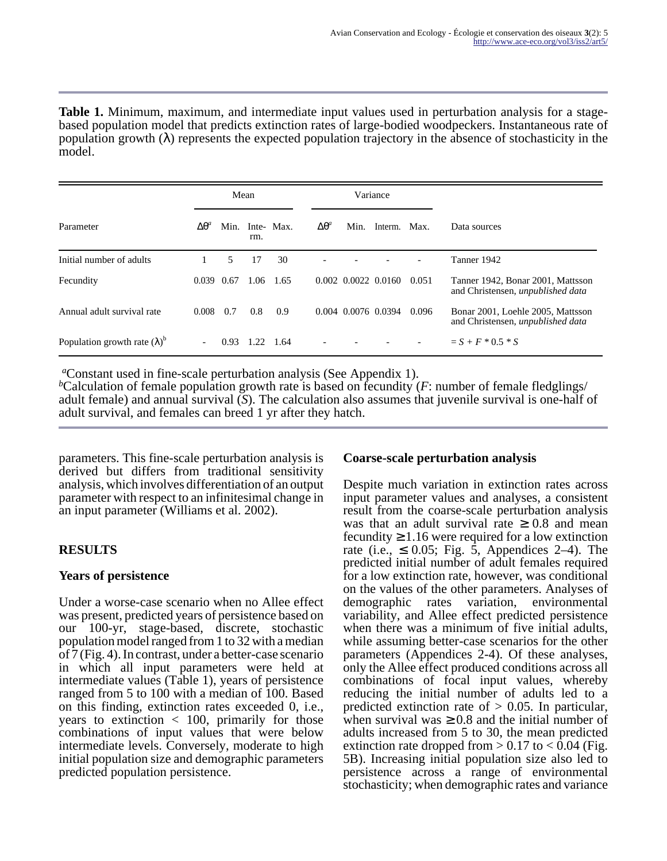**Table 1.** Minimum, maximum, and intermediate input values used in perturbation analysis for a stagebased population model that predicts extinction rates of large-bodied woodpeckers. Instantaneous rate of population growth  $(\lambda)$  represents the expected population trajectory in the absence of stochasticity in the model.

|                                      | Mean                     |      |                   |      |                  | Variance |                           |       |                                                                               |
|--------------------------------------|--------------------------|------|-------------------|------|------------------|----------|---------------------------|-------|-------------------------------------------------------------------------------|
| Parameter                            | $\Delta\Theta^a$         | Min. | Inte- Max.<br>rm. |      | $\Delta\Theta^a$ | Min.     | Interm.                   | Max.  | Data sources                                                                  |
| Initial number of adults             |                          | 5    | 17                | 30   |                  |          |                           |       | Tanner 1942                                                                   |
| Fecundity                            | 0.039                    | 0.67 | 1.06              | 1.65 |                  |          | $0.002$ $0.0022$ $0.0160$ | 0.051 | Tanner 1942, Bonar 2001, Mattsson<br>and Christensen, <i>unpublished data</i> |
| Annual adult survival rate           | 0.008                    | 0.7  | 0.8               | 0.9  |                  |          | 0.004 0.0076 0.0394       | 0.096 | Bonar 2001, Loehle 2005, Mattsson<br>and Christensen, <i>unpublished data</i> |
| Population growth rate $(\lambda)^b$ | $\overline{\phantom{a}}$ | 0.93 | 1.22              | 1.64 |                  |          |                           |       | $= S + F * 0.5 * S$                                                           |

*<sup>a</sup>*Constant used in fine-scale perturbation analysis (See Appendix 1).

*<sup>b</sup>*Calculation of female population growth rate is based on fecundity (*F*: number of female fledglings/ adult female) and annual survival (*S*). The calculation also assumes that juvenile survival is one-half of adult survival, and females can breed 1 yr after they hatch.

parameters. This fine-scale perturbation analysis is derived but differs from traditional sensitivity analysis, which involves differentiation of an output parameter with respect to an infinitesimal change in an input parameter (Williams et al. 2002).

# **RESULTS**

## **Years of persistence**

Under a worse-case scenario when no Allee effect was present, predicted years of persistence based on our 100-yr, stage-based, discrete, stochastic population model ranged from 1 to 32 with a median of 7 (Fig. 4). In contrast, under a better-case scenario in which all input parameters were held at intermediate values (Table 1), years of persistence ranged from 5 to 100 with a median of 100. Based on this finding, extinction rates exceeded 0, i.e., years to extinction  $\langle 100, \pi \rangle$  primarily for those combinations of input values that were below intermediate levels. Conversely, moderate to high initial population size and demographic parameters predicted population persistence.

## **Coarse-scale perturbation analysis**

Despite much variation in extinction rates across input parameter values and analyses, a consistent result from the coarse-scale perturbation analysis was that an adult survival rate  $\geq 0.8$  and mean fecundity  $\geq 1.16$  were required for a low extinction rate (i.e.,  $\leq 0.05$ ; Fig. 5, Appendices 2–4). The predicted initial number of adult females required for a low extinction rate, however, was conditional on the values of the other parameters. Analyses of demographic rates variation, environmental variability, and Allee effect predicted persistence when there was a minimum of five initial adults, while assuming better-case scenarios for the other parameters (Appendices 2-4). Of these analyses, only the Allee effect produced conditions across all combinations of focal input values, whereby reducing the initial number of adults led to a predicted extinction rate of  $> 0.05$ . In particular, when survival was  $\geq 0.8$  and the initial number of adults increased from 5 to 30, the mean predicted extinction rate dropped from  $> 0.17$  to  $< 0.04$  (Fig. 5B). Increasing initial population size also led to persistence across a range of environmental stochasticity; when demographic rates and variance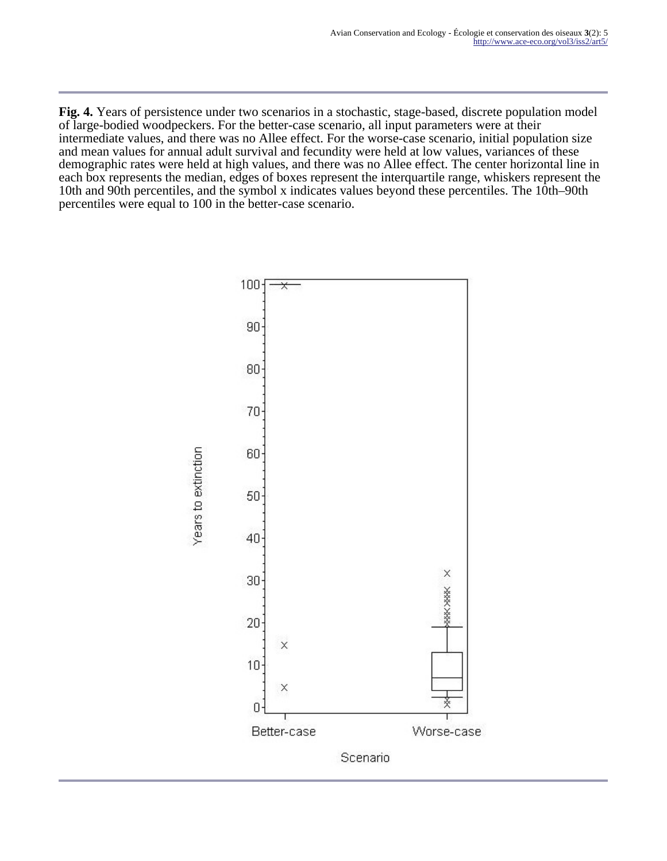**Fig. 4.** Years of persistence under two scenarios in a stochastic, stage-based, discrete population model of large-bodied woodpeckers. For the better-case scenario, all input parameters were at their intermediate values, and there was no Allee effect. For the worse-case scenario, initial population size and mean values for annual adult survival and fecundity were held at low values, variances of these demographic rates were held at high values, and there was no Allee effect. The center horizontal line in each box represents the median, edges of boxes represent the interquartile range, whiskers represent the 10th and 90th percentiles, and the symbol x indicates values beyond these percentiles. The 10th–90th percentiles were equal to 100 in the better-case scenario.

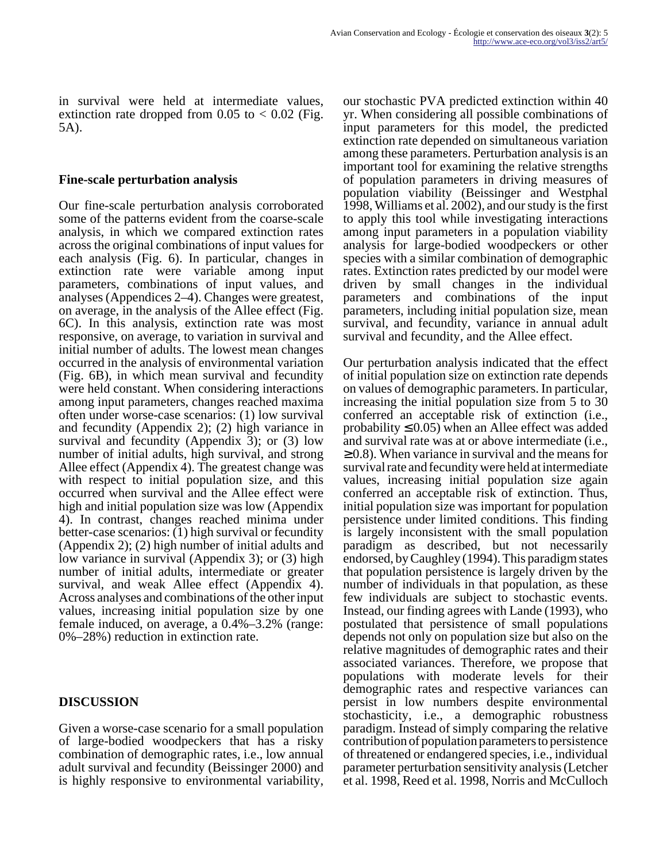in survival were held at intermediate values, extinction rate dropped from  $0.05$  to  $< 0.02$  (Fig. 5A).

#### **Fine-scale perturbation analysis**

Our fine-scale perturbation analysis corroborated some of the patterns evident from the coarse-scale analysis, in which we compared extinction rates across the original combinations of input values for each analysis (Fig. 6). In particular, changes in extinction rate were variable among input parameters, combinations of input values, and analyses (Appendices 2–4). Changes were greatest, on average, in the analysis of the Allee effect (Fig. 6C). In this analysis, extinction rate was most responsive, on average, to variation in survival and initial number of adults. The lowest mean changes occurred in the analysis of environmental variation (Fig. 6B), in which mean survival and fecundity were held constant. When considering interactions among input parameters, changes reached maxima often under worse-case scenarios: (1) low survival and fecundity (Appendix 2); (2) high variance in survival and fecundity (Appendix 3); or (3) low number of initial adults, high survival, and strong Allee effect (Appendix 4). The greatest change was with respect to initial population size, and this occurred when survival and the Allee effect were high and initial population size was low (Appendix 4). In contrast, changes reached minima under better-case scenarios: (1) high survival or fecundity (Appendix 2); (2) high number of initial adults and low variance in survival (Appendix 3); or (3) high number of initial adults, intermediate or greater survival, and weak Allee effect (Appendix 4). Across analyses and combinations of the other input values, increasing initial population size by one female induced, on average, a 0.4%–3.2% (range: 0%–28%) reduction in extinction rate.

## **DISCUSSION**

Given a worse-case scenario for a small population of large-bodied woodpeckers that has a risky combination of demographic rates, i.e., low annual adult survival and fecundity (Beissinger 2000) and is highly responsive to environmental variability,

our stochastic PVA predicted extinction within 40 yr. When considering all possible combinations of input parameters for this model, the predicted extinction rate depended on simultaneous variation among these parameters. Perturbation analysis is an important tool for examining the relative strengths of population parameters in driving measures of population viability (Beissinger and Westphal 1998, Williams et al. 2002), and our study is the first to apply this tool while investigating interactions among input parameters in a population viability analysis for large-bodied woodpeckers or other species with a similar combination of demographic rates. Extinction rates predicted by our model were driven by small changes in the individual parameters and combinations of the input parameters, including initial population size, mean survival, and fecundity, variance in annual adult survival and fecundity, and the Allee effect.

Our perturbation analysis indicated that the effect of initial population size on extinction rate depends on values of demographic parameters. In particular, increasing the initial population size from 5 to 30 conferred an acceptable risk of extinction (i.e., probability  $\leq 0.05$ ) when an Allee effect was added and survival rate was at or above intermediate (i.e.,  $\geq$  0.8). When variance in survival and the means for survival rate and fecundity were held at intermediate values, increasing initial population size again conferred an acceptable risk of extinction. Thus, initial population size was important for population persistence under limited conditions. This finding is largely inconsistent with the small population paradigm as described, but not necessarily endorsed, by Caughley (1994). This paradigm states that population persistence is largely driven by the number of individuals in that population, as these few individuals are subject to stochastic events. Instead, our finding agrees with Lande (1993), who postulated that persistence of small populations depends not only on population size but also on the relative magnitudes of demographic rates and their associated variances. Therefore, we propose that populations with moderate levels for their demographic rates and respective variances can persist in low numbers despite environmental stochasticity, i.e., a demographic robustness paradigm. Instead of simply comparing the relative contribution of population parameters to persistence of threatened or endangered species, i.e., individual parameter perturbation sensitivity analysis (Letcher et al. 1998, Reed et al. 1998, Norris and McCulloch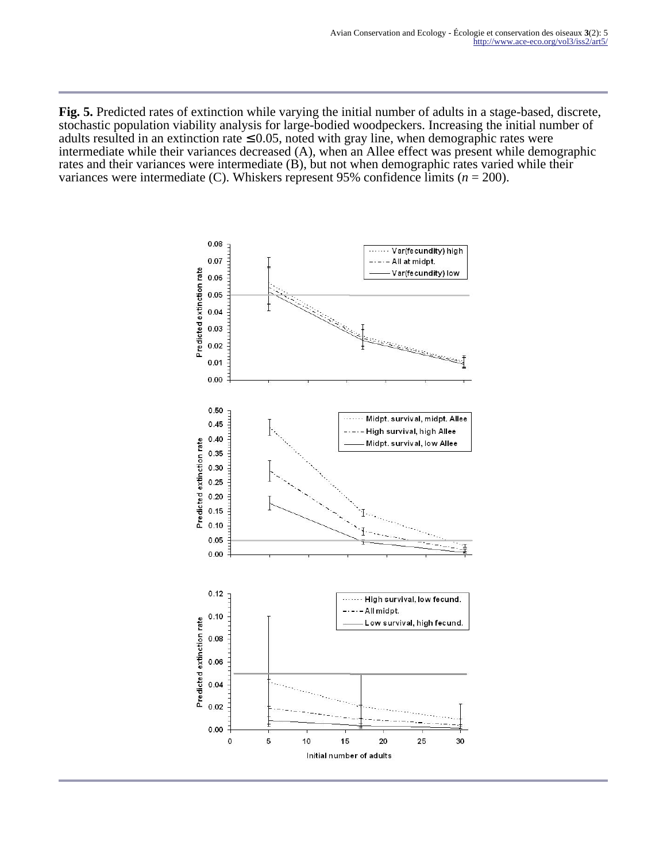**Fig. 5.** Predicted rates of extinction while varying the initial number of adults in a stage-based, discrete, stochastic population viability analysis for large-bodied woodpeckers. Increasing the initial number of adults resulted in an extinction rate  $\leq 0.05$ , noted with gray line, when demographic rates were intermediate while their variances decreased (A), when an Allee effect was present while demographic rates and their variances were intermediate (B), but not when demographic rates varied while their variances were intermediate (C). Whiskers represent 95% confidence limits (*n* = 200).

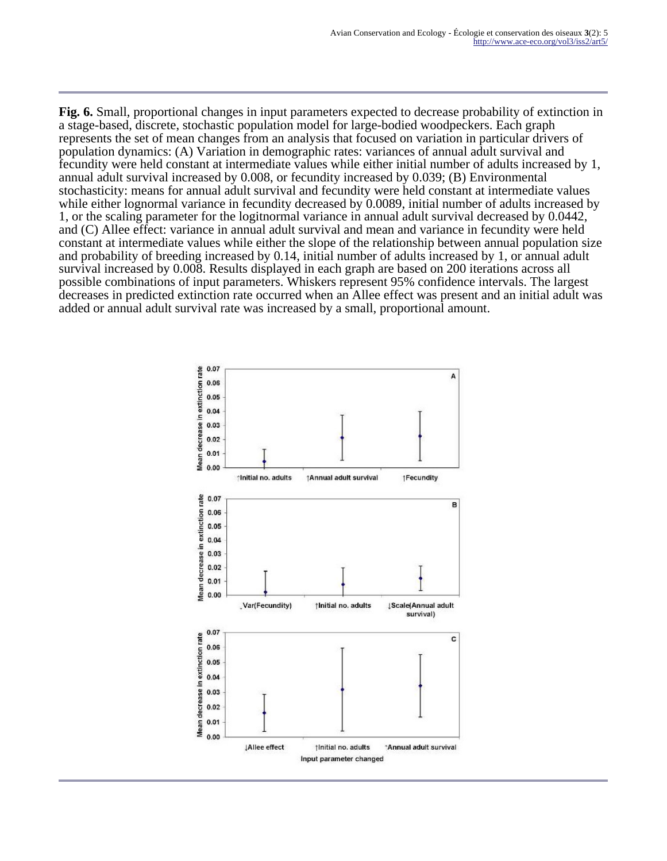**Fig. 6.** Small, proportional changes in input parameters expected to decrease probability of extinction in a stage-based, discrete, stochastic population model for large-bodied woodpeckers. Each graph represents the set of mean changes from an analysis that focused on variation in particular drivers of population dynamics: (A) Variation in demographic rates: variances of annual adult survival and fecundity were held constant at intermediate values while either initial number of adults increased by 1, annual adult survival increased by 0.008, or fecundity increased by 0.039; (B) Environmental stochasticity: means for annual adult survival and fecundity were held constant at intermediate values while either lognormal variance in fecundity decreased by 0.0089, initial number of adults increased by 1, or the scaling parameter for the logitnormal variance in annual adult survival decreased by 0.0442, and (C) Allee effect: variance in annual adult survival and mean and variance in fecundity were held constant at intermediate values while either the slope of the relationship between annual population size and probability of breeding increased by 0.14, initial number of adults increased by 1, or annual adult survival increased by 0.008. Results displayed in each graph are based on 200 iterations across all possible combinations of input parameters. Whiskers represent 95% confidence intervals. The largest decreases in predicted extinction rate occurred when an Allee effect was present and an initial adult was added or annual adult survival rate was increased by a small, proportional amount.

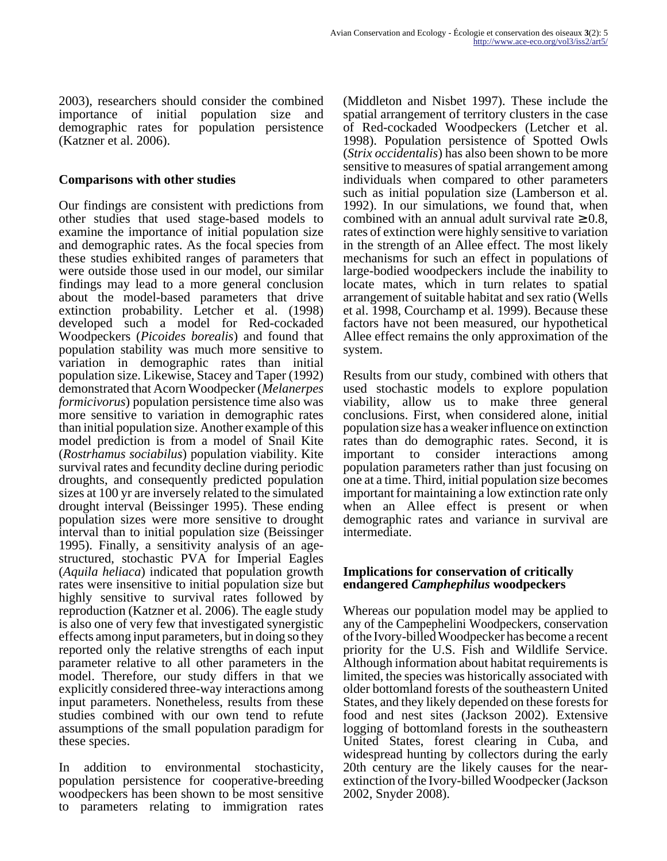2003), researchers should consider the combined importance of initial population size and demographic rates for population persistence (Katzner et al. 2006).

## **Comparisons with other studies**

Our findings are consistent with predictions from other studies that used stage-based models to examine the importance of initial population size and demographic rates. As the focal species from these studies exhibited ranges of parameters that were outside those used in our model, our similar findings may lead to a more general conclusion about the model-based parameters that drive extinction probability. Letcher et al. (1998) developed such a model for Red-cockaded Woodpeckers (*Picoides borealis*) and found that population stability was much more sensitive to variation in demographic rates than initial population size. Likewise, Stacey and Taper (1992) demonstrated that Acorn Woodpecker (*Melanerpes formicivorus*) population persistence time also was more sensitive to variation in demographic rates than initial population size. Another example of this model prediction is from a model of Snail Kite (*Rostrhamus sociabilus*) population viability. Kite survival rates and fecundity decline during periodic droughts, and consequently predicted population sizes at 100 yr are inversely related to the simulated drought interval (Beissinger 1995). These ending population sizes were more sensitive to drought interval than to initial population size (Beissinger 1995). Finally, a sensitivity analysis of an agestructured, stochastic PVA for Imperial Eagles (*Aquila heliaca*) indicated that population growth rates were insensitive to initial population size but highly sensitive to survival rates followed by reproduction (Katzner et al. 2006). The eagle study is also one of very few that investigated synergistic effects among input parameters, but in doing so they reported only the relative strengths of each input parameter relative to all other parameters in the model. Therefore, our study differs in that we explicitly considered three-way interactions among input parameters. Nonetheless, results from these studies combined with our own tend to refute assumptions of the small population paradigm for these species.

In addition to environmental stochasticity, population persistence for cooperative-breeding woodpeckers has been shown to be most sensitive to parameters relating to immigration rates

(Middleton and Nisbet 1997). These include the spatial arrangement of territory clusters in the case of Red-cockaded Woodpeckers (Letcher et al. 1998). Population persistence of Spotted Owls (*Strix occidentalis*) has also been shown to be more sensitive to measures of spatial arrangement among individuals when compared to other parameters such as initial population size (Lamberson et al. 1992). In our simulations, we found that, when combined with an annual adult survival rate  $\geq 0.8$ , rates of extinction were highly sensitive to variation in the strength of an Allee effect. The most likely mechanisms for such an effect in populations of large-bodied woodpeckers include the inability to locate mates, which in turn relates to spatial arrangement of suitable habitat and sex ratio (Wells et al. 1998, Courchamp et al. 1999). Because these factors have not been measured, our hypothetical Allee effect remains the only approximation of the system.

Results from our study, combined with others that used stochastic models to explore population viability, allow us to make three general conclusions. First, when considered alone, initial population size has a weaker influence on extinction rates than do demographic rates. Second, it is important to consider interactions among population parameters rather than just focusing on one at a time. Third, initial population size becomes important for maintaining a low extinction rate only when an Allee effect is present or when demographic rates and variance in survival are intermediate.

#### **Implications for conservation of critically endangered** *Camphephilus* **woodpeckers**

Whereas our population model may be applied to any of the Campephelini Woodpeckers, conservation of the Ivory-billed Woodpecker has become a recent priority for the U.S. Fish and Wildlife Service. Although information about habitat requirements is limited, the species was historically associated with older bottomland forests of the southeastern United States, and they likely depended on these forests for food and nest sites (Jackson 2002). Extensive logging of bottomland forests in the southeastern United States, forest clearing in Cuba, and widespread hunting by collectors during the early 20th century are the likely causes for the nearextinction of the Ivory-billed Woodpecker (Jackson 2002, Snyder 2008).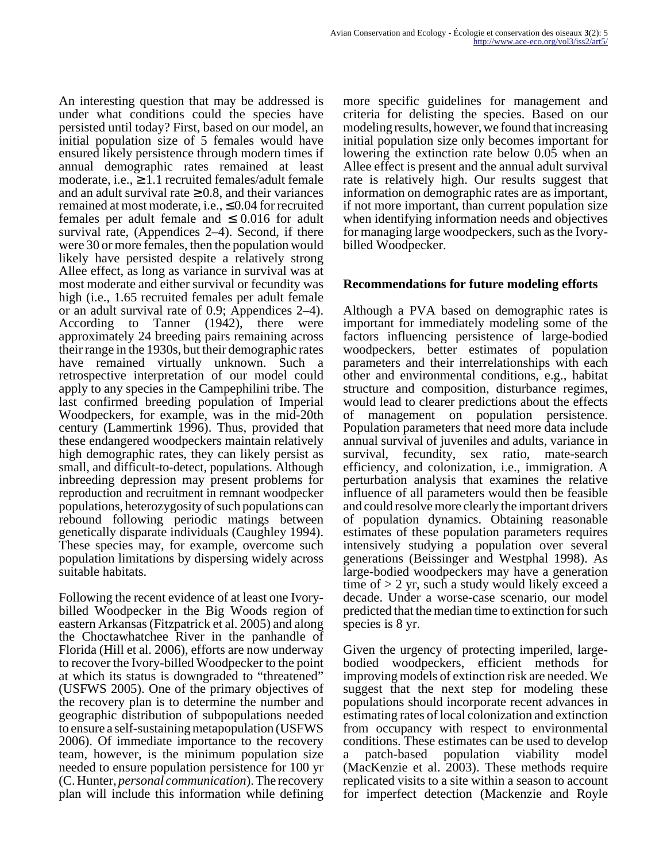An interesting question that may be addressed is under what conditions could the species have persisted until today? First, based on our model, an initial population size of 5 females would have ensured likely persistence through modern times if annual demographic rates remained at least moderate, i.e.,  $\geq 1.1$  recruited females/adult female and an adult survival rate  $\geq 0.8$ , and their variances remained at most moderate, i.e.,  $\leq 0.04$  for recruited females per adult female and  $\leq 0.016$  for adult survival rate, (Appendices 2–4). Second, if there were 30 or more females, then the population would likely have persisted despite a relatively strong Allee effect, as long as variance in survival was at most moderate and either survival or fecundity was high (i.e., 1.65 recruited females per adult female or an adult survival rate of 0.9; Appendices 2–4). According to Tanner (1942), there were approximately 24 breeding pairs remaining across their range in the 1930s, but their demographic rates have remained virtually unknown. Such a retrospective interpretation of our model could apply to any species in the Campephilini tribe. The last confirmed breeding population of Imperial Woodpeckers, for example, was in the mid-20th century (Lammertink 1996). Thus, provided that these endangered woodpeckers maintain relatively high demographic rates, they can likely persist as small, and difficult-to-detect, populations. Although inbreeding depression may present problems for reproduction and recruitment in remnant woodpecker populations, heterozygosity of such populations can rebound following periodic matings between genetically disparate individuals (Caughley 1994). These species may, for example, overcome such population limitations by dispersing widely across suitable habitats.

Following the recent evidence of at least one Ivorybilled Woodpecker in the Big Woods region of eastern Arkansas (Fitzpatrick et al. 2005) and along the Choctawhatchee River in the panhandle of Florida (Hill et al. 2006), efforts are now underway to recover the Ivory-billed Woodpecker to the point at which its status is downgraded to "threatened" (USFWS 2005). One of the primary objectives of the recovery plan is to determine the number and geographic distribution of subpopulations needed to ensure a self-sustaining metapopulation (USFWS 2006). Of immediate importance to the recovery team, however, is the minimum population size needed to ensure population persistence for 100 yr (C. Hunter, *personal communication*). The recovery plan will include this information while defining

more specific guidelines for management and criteria for delisting the species. Based on our modeling results, however, we found that increasing initial population size only becomes important for lowering the extinction rate below 0.05 when an Allee effect is present and the annual adult survival rate is relatively high. Our results suggest that information on demographic rates are as important, if not more important, than current population size when identifying information needs and objectives for managing large woodpeckers, such as the Ivorybilled Woodpecker.

#### **Recommendations for future modeling efforts**

Although a PVA based on demographic rates is important for immediately modeling some of the factors influencing persistence of large-bodied woodpeckers, better estimates of population parameters and their interrelationships with each other and environmental conditions, e.g., habitat structure and composition, disturbance regimes, would lead to clearer predictions about the effects of management on population persistence. Population parameters that need more data include annual survival of juveniles and adults, variance in survival, fecundity, sex ratio, mate-search efficiency, and colonization, i.e., immigration. A perturbation analysis that examines the relative influence of all parameters would then be feasible and could resolve more clearly the important drivers of population dynamics. Obtaining reasonable estimates of these population parameters requires intensively studying a population over several generations (Beissinger and Westphal 1998). As large-bodied woodpeckers may have a generation time of  $> 2$  yr, such a study would likely exceed a decade. Under a worse-case scenario, our model predicted that the median time to extinction for such species is 8 yr.

Given the urgency of protecting imperiled, largebodied woodpeckers, efficient methods for improving models of extinction risk are needed. We suggest that the next step for modeling these populations should incorporate recent advances in estimating rates of local colonization and extinction from occupancy with respect to environmental conditions. These estimates can be used to develop a patch-based population viability model (MacKenzie et al. 2003). These methods require replicated visits to a site within a season to account for imperfect detection (Mackenzie and Royle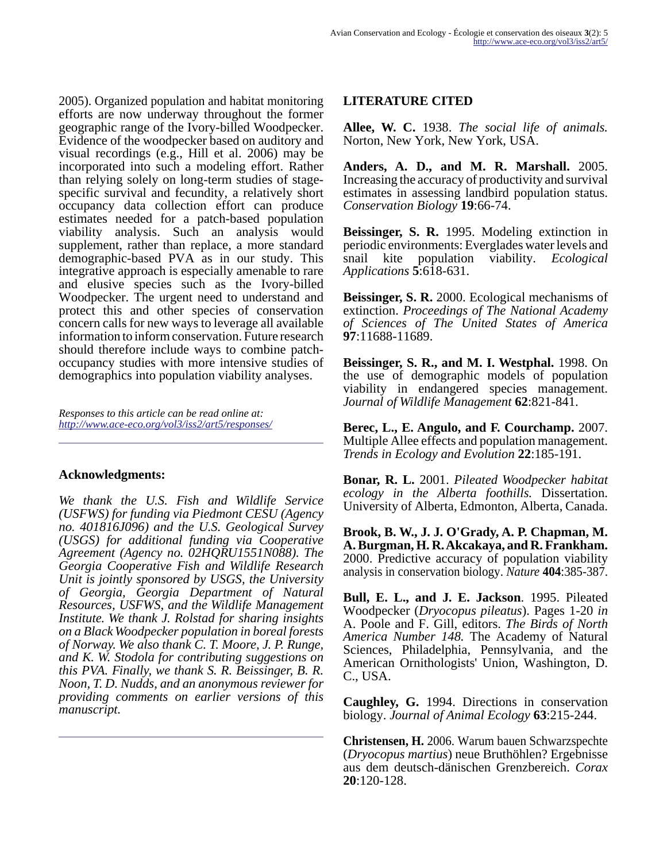2005). Organized population and habitat monitoring efforts are now underway throughout the former geographic range of the Ivory-billed Woodpecker. Evidence of the woodpecker based on auditory and visual recordings (e.g., Hill et al. 2006) may be incorporated into such a modeling effort. Rather than relying solely on long-term studies of stagespecific survival and fecundity, a relatively short occupancy data collection effort can produce estimates needed for a patch-based population viability analysis. Such an analysis would supplement, rather than replace, a more standard demographic-based PVA as in our study. This integrative approach is especially amenable to rare and elusive species such as the Ivory-billed Woodpecker. The urgent need to understand and protect this and other species of conservation concern calls for new ways to leverage all available information to inform conservation. Future research should therefore include ways to combine patchoccupancy studies with more intensive studies of demographics into population viability analyses.

*Responses to this article can be read online at: <http://www.ace-eco.org/vol3/iss2/art5/responses/>*

## **Acknowledgments:**

*We thank the U.S. Fish and Wildlife Service (USFWS) for funding via Piedmont CESU (Agency no. 401816J096) and the U.S. Geological Survey (USGS) for additional funding via Cooperative Agreement (Agency no. 02HQRU1551N088). The Georgia Cooperative Fish and Wildlife Research Unit is jointly sponsored by USGS, the University of Georgia, Georgia Department of Natural Resources, USFWS, and the Wildlife Management Institute. We thank J. Rolstad for sharing insights on a Black Woodpecker population in boreal forests of Norway. We also thank C. T. Moore, J. P. Runge, and K. W. Stodola for contributing suggestions on this PVA. Finally, we thank S. R. Beissinger, B. R. Noon, T. D. Nudds, and an anonymous reviewer for providing comments on earlier versions of this manuscript.*

#### **LITERATURE CITED**

**Allee, W. C.** 1938. *The social life of animals.* Norton, New York, New York, USA.

**Anders, A. D., and M. R. Marshall.** 2005. Increasing the accuracy of productivity and survival estimates in assessing landbird population status. *Conservation Biology* **19**:66-74.

**Beissinger, S. R.** 1995. Modeling extinction in periodic environments: Everglades water levels and snail kite population viability. *Ecological Applications* **5**:618-631.

**Beissinger, S. R.** 2000. Ecological mechanisms of extinction. *Proceedings of The National Academy of Sciences of The United States of America* **97**:11688-11689.

**Beissinger, S. R., and M. I. Westphal.** 1998. On the use of demographic models of population viability in endangered species management. *Journal of Wildlife Management* **62**:821-841.

**Berec, L., E. Angulo, and F. Courchamp.** 2007. Multiple Allee effects and population management. *Trends in Ecology and Evolution* **22**:185-191.

**Bonar, R. L.** 2001. *Pileated Woodpecker habitat ecology in the Alberta foothills.* Dissertation. University of Alberta, Edmonton, Alberta, Canada.

**Brook, B. W., J. J. O'Grady, A. P. Chapman, M. A. Burgman, H. R. Akcakaya, and R. Frankham.** 2000. Predictive accuracy of population viability analysis in conservation biology. *Nature* **404**:385-387.

**Bull, E. L., and J. E. Jackson**. 1995. Pileated Woodpecker (*Dryocopus pileatus*). Pages 1-20 *in* A. Poole and F. Gill, editors. *The Birds of North America Number 148.* The Academy of Natural Sciences, Philadelphia, Pennsylvania, and the American Ornithologists' Union, Washington, D. C., USA.

**Caughley, G.** 1994. Directions in conservation biology. *Journal of Animal Ecology* **63**:215-244.

**Christensen, H.** 2006. Warum bauen Schwarzspechte (*Dryocopus martius*) neue Bruthöhlen? Ergebnisse aus dem deutsch-dänischen Grenzbereich. *Corax* **20**:120-128.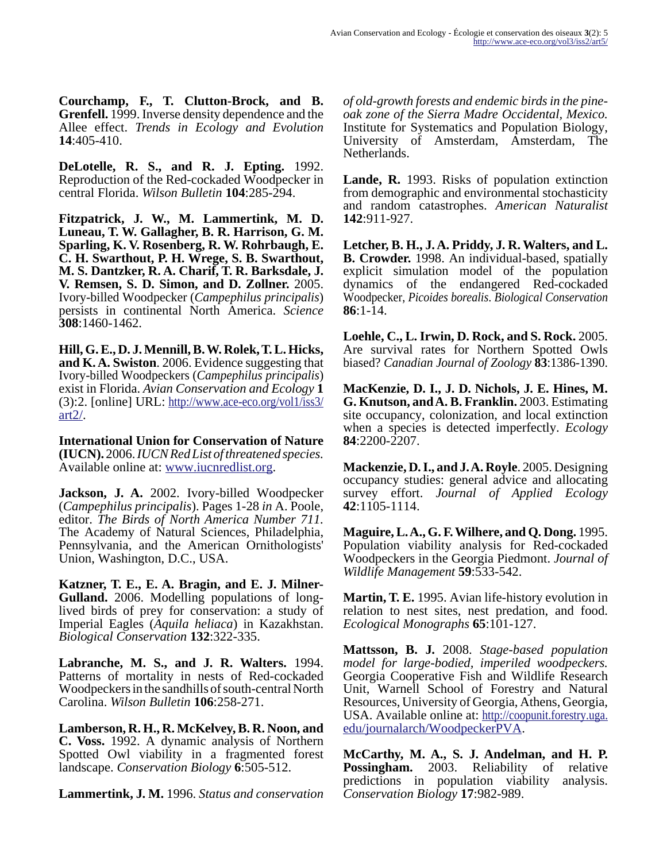**Courchamp, F., T. Clutton-Brock, and B. Grenfell.** 1999. Inverse density dependence and the Allee effect. *Trends in Ecology and Evolution* **14**:405-410.

**DeLotelle, R. S., and R. J. Epting.** 1992. Reproduction of the Red-cockaded Woodpecker in central Florida. *Wilson Bulletin* **104**:285-294.

**Fitzpatrick, J. W., M. Lammertink, M. D. Luneau, T. W. Gallagher, B. R. Harrison, G. M. Sparling, K. V. Rosenberg, R. W. Rohrbaugh, E. C. H. Swarthout, P. H. Wrege, S. B. Swarthout, M. S. Dantzker, R. A. Charif, T. R. Barksdale, J. V. Remsen, S. D. Simon, and D. Zollner.** 2005. Ivory-billed Woodpecker (*Campephilus principalis*) persists in continental North America. *Science* **308**:1460-1462.

**Hill, G. E., D. J. Mennill, B. W. Rolek, T. L. Hicks, and K. A. Swiston**. 2006. Evidence suggesting that Ivory-billed Woodpeckers (*Campephilus principalis*) exist in Florida. *Avian Conservation and Ecology* **1** (3):2. [online] URL: [http://www.ace-eco.org/vol1/iss3/](http://www.ace-eco.org/vol1/iss3/art2/) [art2/.](http://www.ace-eco.org/vol1/iss3/art2/)

**International Union for Conservation of Nature (IUCN).** 2006. *IUCN Red List of threatened species.* Available online at: [www.iucnredlist.org](http://www.iucnredlist.org).

**Jackson, J. A.** 2002. Ivory-billed Woodpecker (*Campephilus principalis*). Pages 1-28 *in* A. Poole, editor. *The Birds of North America Number 711.* The Academy of Natural Sciences, Philadelphia, Pennsylvania, and the American Ornithologists' Union, Washington, D.C., USA.

**Katzner, T. E., E. A. Bragin, and E. J. Milner-Gulland.** 2006. Modelling populations of longlived birds of prey for conservation: a study of Imperial Eagles (*Aquila heliaca*) in Kazakhstan. *Biological Conservation* **132**:322-335.

**Labranche, M. S., and J. R. Walters.** 1994. Patterns of mortality in nests of Red-cockaded Woodpeckers in the sandhills of south-central North Carolina. *Wilson Bulletin* **106**:258-271.

**Lamberson, R. H., R. McKelvey, B. R. Noon, and C. Voss.** 1992. A dynamic analysis of Northern Spotted Owl viability in a fragmented forest landscape. *Conservation Biology* **6**:505-512.

**Lammertink, J. M.** 1996. *Status and conservation*

*of old-growth forests and endemic birds in the pineoak zone of the Sierra Madre Occidental, Mexico.* Institute for Systematics and Population Biology, University of Amsterdam, Amsterdam, The Netherlands.

**Lande, R.** 1993. Risks of population extinction from demographic and environmental stochasticity and random catastrophes. *American Naturalist* **142**:911-927.

**Letcher, B. H., J. A. Priddy, J. R. Walters, and L. B. Crowder.** 1998. An individual-based, spatially explicit simulation model of the population dynamics of the endangered Red-cockaded Woodpecker, *Picoides borealis*. *Biological Conservation* **86**:1-14.

**Loehle, C., L. Irwin, D. Rock, and S. Rock.** 2005. Are survival rates for Northern Spotted Owls biased? *Canadian Journal of Zoology* **83**:1386-1390.

**MacKenzie, D. I., J. D. Nichols, J. E. Hines, M. G. Knutson, and A. B. Franklin.** 2003. Estimating site occupancy, colonization, and local extinction when a species is detected imperfectly. *Ecology* **84**:2200-2207.

**Mackenzie, D. I., and J. A. Royle**. 2005. Designing occupancy studies: general advice and allocating survey effort. *Journal of Applied Ecology* **42**:1105-1114.

**Maguire, L. A., G. F. Wilhere, and Q. Dong.** 1995. Population viability analysis for Red-cockaded Woodpeckers in the Georgia Piedmont. *Journal of Wildlife Management* **59**:533-542.

**Martin, T. E.** 1995. Avian life-history evolution in relation to nest sites, nest predation, and food. *Ecological Monographs* **65**:101-127.

**Mattsson, B. J.** 2008. *Stage-based population model for large-bodied, imperiled woodpeckers.* Georgia Cooperative Fish and Wildlife Research Unit, Warnell School of Forestry and Natural Resources, University of Georgia, Athens, Georgia, USA. Available online at: [http://coopunit.forestry.uga.](http://coopunit.forestry.uga.edu/journalarch/WoodpeckerPVA) [edu/journalarch/WoodpeckerPVA.](http://coopunit.forestry.uga.edu/journalarch/WoodpeckerPVA)

**McCarthy, M. A., S. J. Andelman, and H. P. Possingham.** 2003. Reliability of relative predictions in population viability analysis. *Conservation Biology* **17**:982-989.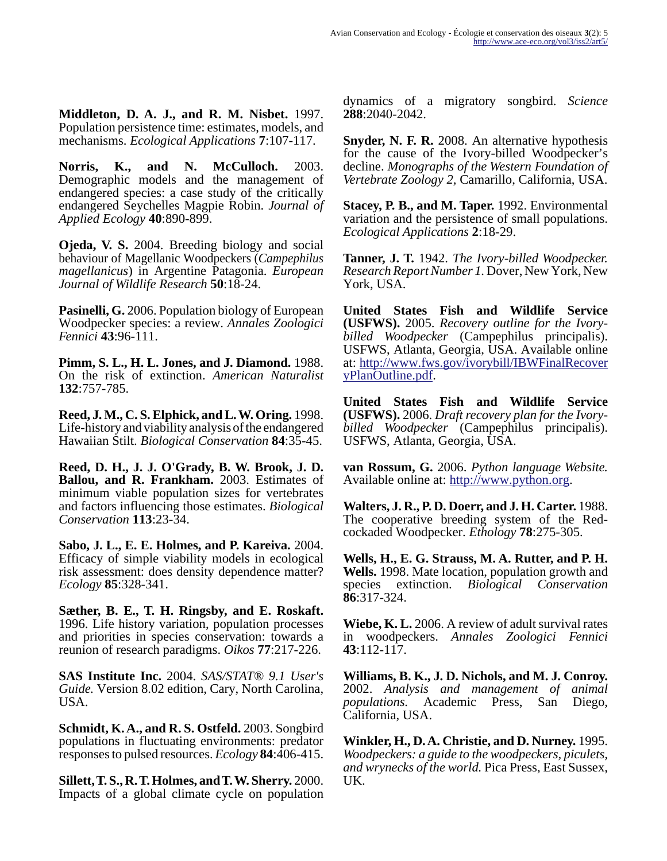**Middleton, D. A. J., and R. M. Nisbet.** 1997. Population persistence time: estimates, models, and mechanisms. *Ecological Applications* **7**:107-117.

**Norris, K., and N. McCulloch.** 2003. Demographic models and the management of endangered species: a case study of the critically endangered Seychelles Magpie Robin. *Journal of Applied Ecology* **40**:890-899.

**Ojeda, V. S.** 2004. Breeding biology and social behaviour of Magellanic Woodpeckers (*Campephilus magellanicus*) in Argentine Patagonia. *European Journal of Wildlife Research* **50**:18-24.

**Pasinelli, G.** 2006. Population biology of European Woodpecker species: a review. *Annales Zoologici Fennici* **43**:96-111.

**Pimm, S. L., H. L. Jones, and J. Diamond.** 1988. On the risk of extinction. *American Naturalist* **132**:757-785.

**Reed, J. M., C. S. Elphick, and L. W. Oring.** 1998. Life-history and viability analysis of the endangered Hawaiian Stilt. *Biological Conservation* **84**:35-45.

**Reed, D. H., J. J. O'Grady, B. W. Brook, J. D. Ballou, and R. Frankham.** 2003. Estimates of minimum viable population sizes for vertebrates and factors influencing those estimates. *Biological Conservation* **113**:23-34.

**Sabo, J. L., E. E. Holmes, and P. Kareiva.** 2004. Efficacy of simple viability models in ecological risk assessment: does density dependence matter? *Ecology* **85**:328-341.

**Sæther, B. E., T. H. Ringsby, and E. Roskaft.** 1996. Life history variation, population processes and priorities in species conservation: towards a reunion of research paradigms. *Oikos* **77**:217-226.

**SAS Institute Inc.** 2004. *SAS/STAT® 9.1 User's Guide.* Version 8.02 edition, Cary, North Carolina, USA.

**Schmidt, K. A., and R. S. Ostfeld.** 2003. Songbird populations in fluctuating environments: predator responses to pulsed resources. *Ecology* **84**:406-415.

**Sillett, T. S., R. T. Holmes, and T. W. Sherry.** 2000. Impacts of a global climate cycle on population dynamics of a migratory songbird. *Science* **288**:2040-2042.

**Snyder, N. F. R.** 2008. An alternative hypothesis for the cause of the Ivory-billed Woodpecker's decline. *Monographs of the Western Foundation of Vertebrate Zoology 2,* Camarillo, California, USA.

**Stacey, P. B., and M. Taper.** 1992. Environmental variation and the persistence of small populations. *Ecological Applications* **2**:18-29.

**Tanner, J. T.** 1942. *The Ivory-billed Woodpecker. Research Report Number 1.* Dover, New York, New York, USA.

**United States Fish and Wildlife Service (USFWS).** 2005. *Recovery outline for the Ivorybilled Woodpecker* (Campephilus principalis). USFWS, Atlanta, Georgia, USA. Available online at: [http://www.fws.gov/ivorybill/IBWFinalRecover](http://www.fws.gov/ivorybill/IBWFinalRecoveryPlanOutline.pdf) [yPlanOutline.pdf](http://www.fws.gov/ivorybill/IBWFinalRecoveryPlanOutline.pdf).

**United States Fish and Wildlife Service (USFWS).** 2006. *Draft recovery plan for the Ivorybilled Woodpecker* (Campephilus principalis). USFWS, Atlanta, Georgia, USA.

**van Rossum, G.** 2006. *Python language Website.* Available online at: [http://www.python.org.](http://www.python.org)

**Walters, J. R., P. D. Doerr, and J. H. Carter.** 1988. The cooperative breeding system of the Redcockaded Woodpecker. *Ethology* **78**:275-305.

**Wells, H., E. G. Strauss, M. A. Rutter, and P. H. Wells.** 1998. Mate location, population growth and species extinction. *Biological Conservation* **86**:317-324.

**Wiebe, K. L.** 2006. A review of adult survival rates in woodpeckers. *Annales Zoologici Fennici* **43**:112-117.

**Williams, B. K., J. D. Nichols, and M. J. Conroy.** 2002. *Analysis and management of animal populations.* Academic Press, San Diego, California, USA.

**Winkler, H., D. A. Christie, and D. Nurney.** 1995. *Woodpeckers: a guide to the woodpeckers, piculets, and wrynecks of the world.* Pica Press, East Sussex, UK.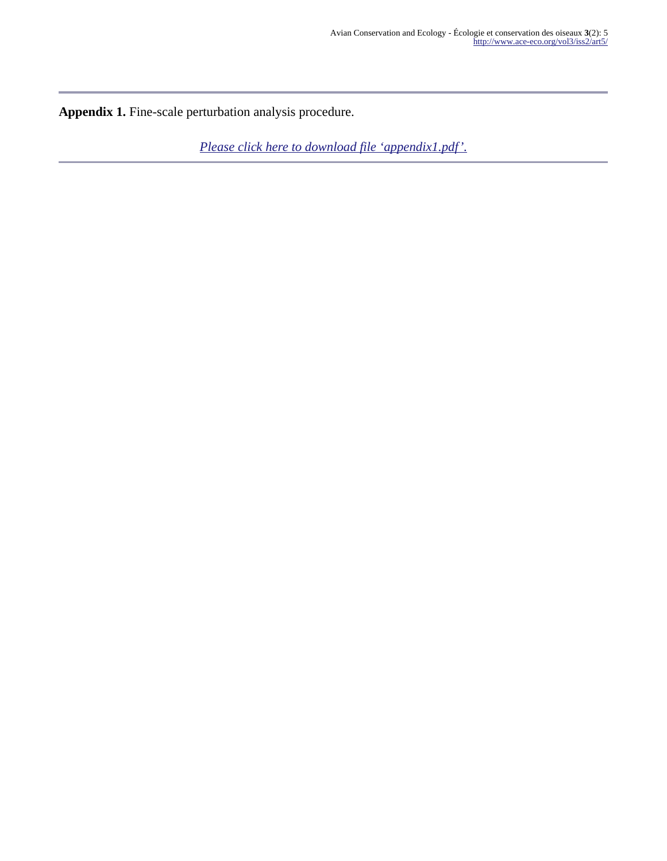**Appendix 1.** Fine-scale perturbation analysis procedure.

*[Please click here to download file 'appendix1.pdf'.](http://www.ace-eco.org/255/appendix1.pdf)*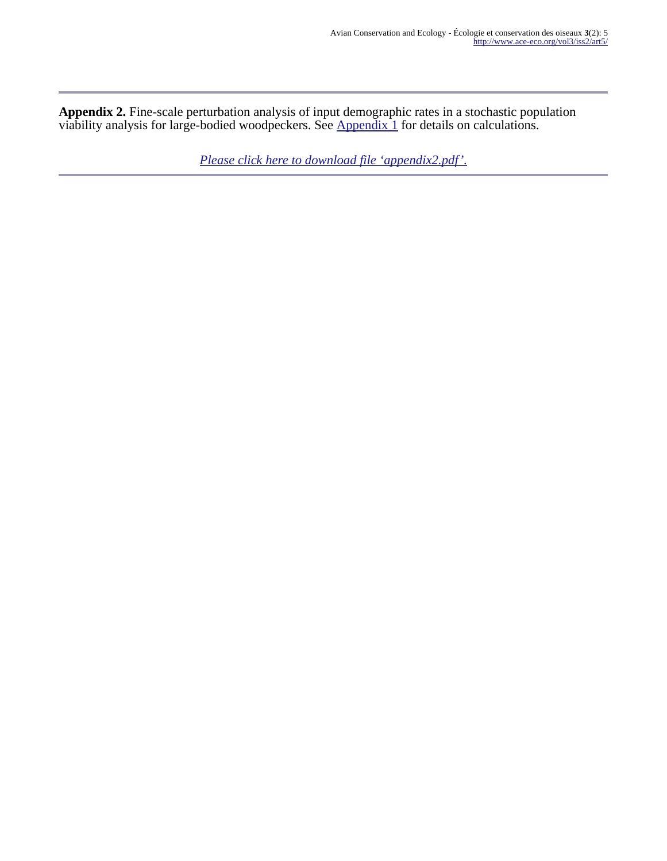**Appendix 2.** Fine-scale perturbation analysis of input demographic rates in a stochastic population viability analysis for large-bodied woodpeckers. See **[Appendix 1](http://www.ace-eco.org/255/appendix1.pdf)** for details on calculations.

*[Please click here to download file 'appendix2.pdf'.](http://www.ace-eco.org/255/appendix2.pdf)*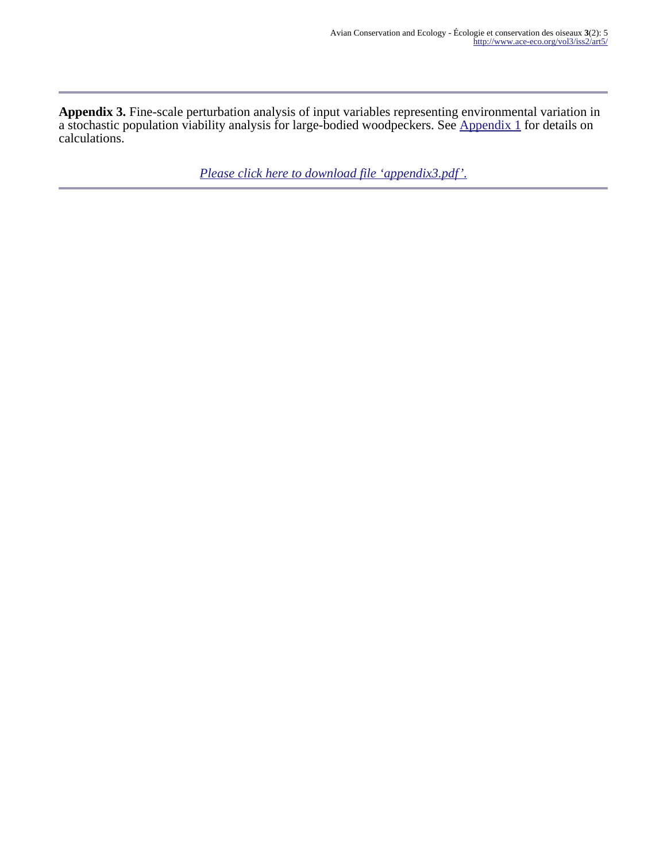**Appendix 3.** Fine-scale perturbation analysis of input variables representing environmental variation in a stochastic population viability analysis for large-bodied woodpeckers. See [Appendix 1](http://www.ace-eco.org/255/appendix1.pdf) for details on calculations.

*[Please click here to download file 'appendix3.pdf'.](http://www.ace-eco.org/255/appendix3.pdf)*